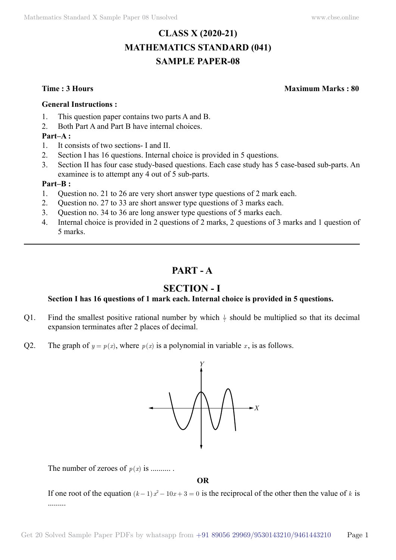# **CLASS X (2020-21) MATHEMATICS STANDARD (041) SAMPLE PAPER-08**

**Time : 3 Hours Maximum Marks : 80**

#### **General Instructions :**

- 1. This question paper contains two parts A and B.
- 2. Both Part A and Part B have internal choices.

## **Part–A :**

- 1. It consists of two sections- I and II.
- 2. Section I has 16 questions. Internal choice is provided in 5 questions.
- 3. Section II has four case study-based questions. Each case study has 5 case-based sub-parts. An examinee is to attempt any 4 out of 5 sub-parts.

### **Part–B :**

- 1. Question no. 21 to 26 are very short answer type questions of 2 mark each.
- 2. Question no. 27 to 33 are short answer type questions of 3 marks each.
- 3. Question no. 34 to 36 are long answer type questions of 5 marks each.
- 4. Internal choice is provided in 2 questions of 2 marks, 2 questions of 3 marks and 1 question of 5 marks.

# **Part - A**

# **Section - I**

## **Section I has 16 questions of 1 mark each. Internal choice is provided in 5 questions.**

- Q1. Find the smallest positive rational number by which  $\frac{1}{7}$  should be multiplied so that its decimal expansion terminates after 2 places of decimal.
- Q2. The graph of  $y = p(x)$ , where  $p(x)$  is a polynomial in variable x, is as follows.



The number of zeroes of  $p(x)$  is ..........

 **O**

If one root of the equation  $(k-1)x^2 - 10x + 3 = 0$  is the reciprocal of the other then the value of k is .........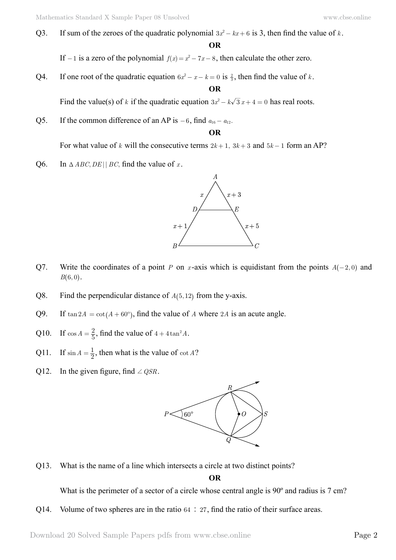Q3. If sum of the zeroes of the quadratic polynomial  $3x^2 - kx + 6$  is 3, then find the value of *k*.

 **O**

If  $-1$  is a zero of the polynomial  $f(x) = x^2 - 7x - 8$ , then calculate the other zero.

Q4. If one root of the quadratic equation  $6x^2 - x - k = 0$  is  $\frac{2}{3}$ , then find the value of *k*.  **O**

Find the value(s) of *k* if the quadratic equation  $3x^2 - k\sqrt{3}x + 4 = 0$  has real roots.

Q5. If the common difference of an AP is  $-6$ , find  $a_{16} - a_{12}$ .

#### **O**

For what value of *k* will the consecutive terms  $2k+1$ ,  $3k+3$  and  $5k-1$  form an AP?

Q6. In  $\triangle ABC, DE \parallel BC$ , find the value of *x*.



- Q7. Write the coordinates of a point *P* on *x*-axis which is equidistant from the points  $A(-2, 0)$  and  $B(6, 0)$ .
- Q8. Find the perpendicular distance of  $A(5, 12)$  from the y-axis.
- Q9. If  $tan 2A = cot(A + 60^\circ)$ , find the value of *A* where 2*A* is an acute angle.
- Q10. If  $\cos A = \frac{2}{5}$ , find the value of  $4 + 4\tan^2 A$ .
- Q11. If  $\sin A = \frac{1}{2}$ , then what is the value of  $\cot A$ ?
- Q12. In the given figure, find  $\angle QSR$ .



Q13. What is the name of a line which intersects a circle at two distinct points?

 **O**

What is the perimeter of a sector of a circle whose central angle is 90<sup>°</sup> and radius is 7 cm?

Q14. Volume of two spheres are in the ratio  $64 \div 27$ , find the ratio of their surface areas.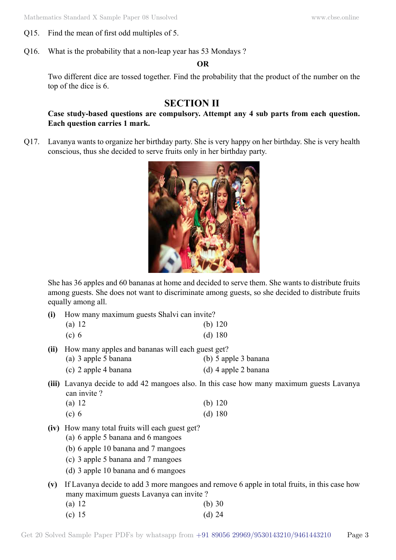- Q15. Find the mean of first odd multiples of 5.
- Q16. What is the probability that a non-leap year has 53 Mondays ?

 **O**

Two different dice are tossed together. Find the probability that the product of the number on the top of the dice is 6.

# **Section II**

## **Case study-based questions are compulsory. Attempt any 4 sub parts from each question. Each question carries 1 mark.**

Q17. Lavanya wants to organize her birthday party. She is very happy on her birthday. She is very health conscious, thus she decided to serve fruits only in her birthday party.



She has 36 apples and 60 bananas at home and decided to serve them. She wants to distribute fruits among guests. She does not want to discriminate among guests, so she decided to distribute fruits equally among all.

**(i)** How many maximum guests Shalvi can invite?

| (a) $12$   | (b) $120$ |
|------------|-----------|
| $\sqrt{2}$ | $(1)$ 100 |

- (c) 6 (d) 180
- **(ii)** How many apples and bananas will each guest get?
	- (a) 3 apple 5 banana (b) 5 apple 3 banana
	- (c) 2 apple 4 banana (d) 4 apple 2 banana
- **(iii)** Lavanya decide to add 42 mangoes also. In this case how many maximum guests Lavanya can invite ?

| (a) 12 | (b) $120$ |
|--------|-----------|
| (c) 6  | (d) 180   |

- **(iv)** How many total fruits will each guest get?
	- (a) 6 apple 5 banana and 6 mangoes
	- (b) 6 apple 10 banana and 7 mangoes
	- (c) 3 apple 5 banana and 7 mangoes
	- (d) 3 apple 10 banana and 6 mangoes
- **(v)** If Lavanya decide to add 3 more mangoes and remove 6 apple in total fruits, in this case how many maximum guests Lavanya can invite ?
	- (a) 12 (b) 30 (c)  $15$  (d)  $24$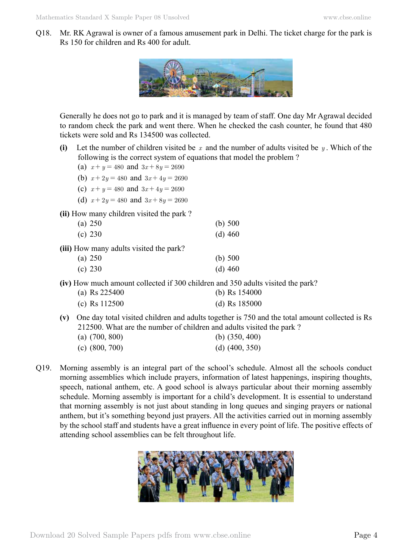Q18. Mr. RK Agrawal is owner of a famous amusement park in Delhi. The ticket charge for the park is Rs 150 for children and Rs 400 for adult.



Generally he does not go to park and it is managed by team of staff. One day Mr Agrawal decided to random check the park and went there. When he checked the cash counter, he found that 480 tickets were sold and Rs 134500 was collected.

- **(i)** Let the number of children visited be *x* and the number of adults visited be *y* . Which of the following is the correct system of equations that model the problem ?
	- (a)  $x + y = 480$  and  $3x + 8y = 2690$
	- (b)  $x + 2y = 480$  and  $3x + 4y = 2690$
	- (c)  $x + y = 480$  and  $3x + 4y = 2690$
	- (d)  $x + 2y = 480$  and  $3x + 8y = 2690$

**(ii)** How many children visited the park ?

| (a) $250$ | (b) $500$ |
|-----------|-----------|
| (c) 230   | (d) $460$ |

**(iii)** How many adults visited the park?

| (a) 250 | (b) $500$ |
|---------|-----------|
| (c) 230 | (d) $460$ |

**(iv)** How much amount collected if 300 children and 350 adults visited the park?

| (a) Rs $225400$ | (b) Rs $154000$ |
|-----------------|-----------------|
| (c) Rs $112500$ | (d) Rs $185000$ |

**(v)** One day total visited children and adults together is 750 and the total amount collected is Rs 212500. What are the number of children and adults visited the park ?

| (a) $(700, 800)$ | (b) $(350, 400)$ |
|------------------|------------------|
| (c) $(800, 700)$ | (d) $(400, 350)$ |

Q19. Morning assembly is an integral part of the school's schedule. Almost all the schools conduct morning assemblies which include prayers, information of latest happenings, inspiring thoughts, speech, national anthem, etc. A good school is always particular about their morning assembly schedule. Morning assembly is important for a child's development. It is essential to understand that morning assembly is not just about standing in long queues and singing prayers or national anthem, but it's something beyond just prayers. All the activities carried out in morning assembly by the school staff and students have a great influence in every point of life. The positive effects of attending school assemblies can be felt throughout life.

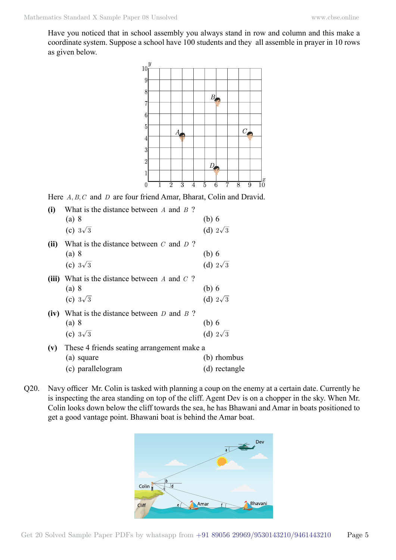Have you noticed that in school assembly you always stand in row and column and this make a coordinate system. Suppose a school have 100 students and they all assemble in prayer in 10 rows as given below.



Here *A, B, C* and *D* are four friend Amar, Bharat, Colin and Dravid.

| (i)  | What is the distance between $A$ and $B$ ?<br>(a) 8 | $(b)$ 6         |
|------|-----------------------------------------------------|-----------------|
|      | (c) $3\sqrt{3}$                                     | (d) $2\sqrt{3}$ |
| (ii) | What is the distance between $C$ and $D$ ?          |                 |
|      | (a) 8                                               | (b) 6           |
|      | (c) $3\sqrt{3}$                                     | (d) $2\sqrt{3}$ |
|      | (iii) What is the distance between $A$ and $C$ ?    |                 |
|      | (a) 8                                               | $(b)$ 6         |
|      | (c) $3\sqrt{3}$                                     | (d) $2\sqrt{3}$ |
|      | (iv) What is the distance between $D$ and $B$ ?     |                 |
|      | (a) 8                                               | (b) 6           |
|      | (c) $3\sqrt{3}$                                     | (d) $2\sqrt{3}$ |
| (v)  | These 4 friends seating arrangement make a          |                 |
|      | (a) square                                          | (b) rhombus     |
|      | (c) parallelogram                                   | (d) rectangle   |

Q20. Navy officer Mr. Colin is tasked with planning a coup on the enemy at a certain date. Currently he is inspecting the area standing on top of the cliff. Agent Dev is on a chopper in the sky. When Mr. Colin looks down below the cliff towards the sea, he has Bhawani and Amar in boats positioned to get a good vantage point. Bhawani boat is behind the Amar boat.

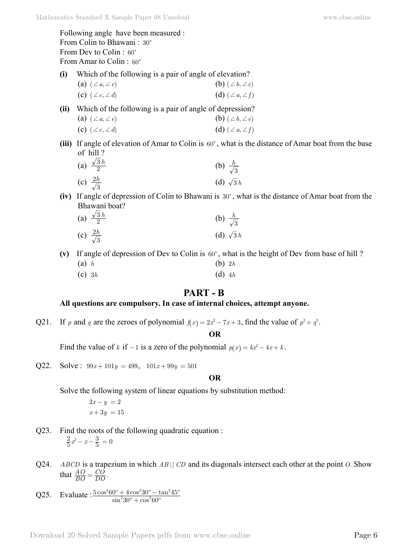Following angle have been measured : From Colin to Bhawani : 30° From Dev to Colin : 60° From Amar to Colin: 60°

- **(i)** Which of the following is a pair of angle of elevation?
	- (a)  $(\angle a, \angle e)$  (b)  $(\angle b, \angle e)$ (c)  $(\angle c, \angle d)$  (d)  $(\angle a, \angle f)$
- **(ii)** Which of the following is a pair of angle of depression?

| (a) $(\angle a, \angle e)$ | (b) $(\angle b, \angle e)$ |
|----------------------------|----------------------------|
| (c) $(\angle c, \angle d)$ | (d) $(\angle a, \angle f)$ |

(iii) If angle of elevation of Amar to Colin is  $60^\circ$ , what is the distance of Amar boat from the base of hill ?

(a) 
$$
\frac{\sqrt{3}h}{2}
$$
 (b)  $\frac{h}{\sqrt{3}}$   
(c)  $\frac{2h}{\sqrt{3}}$  (d)  $\sqrt{3}h$ 

**(iv)** If angle of depression of Colin to Bhawani is 30°, what is the distance of Amar boat from the Bhawani boat?

| (a) $\frac{\sqrt{3}h}{2}$ | (b) $\frac{h}{\sqrt{3}}$ |
|---------------------------|--------------------------|
| (c) $\frac{2h}{\sqrt{3}}$ | (d) $\sqrt{3}h$          |

- (v) If angle of depression of Dev to Colin is  $60^\circ$ , what is the height of Dev from base of hill ?
	- (a) *h* (b) 2*h*
	- (c) 3*h* (d) 4*h*

# **Part - B**

## **All questions are compulsory. In case of internal choices, attempt anyone.**

Q21. If *p* and *q* are the zeroes of polynomial  $f(x) = 2x^2 - 7x + 3$ , find the value of  $p^2 + q^2$ .

 **O**

Find the value of *k* if  $-1$  is a zero of the polynomial  $p(x) = kx^2 - 4x + k$ .

Q22. Solve: 
$$
99x+101y = 499
$$
,  $101x+99y = 501$ 

### **O**

Solve the following system of linear equations by substitution method:

$$
2x - y = 2
$$

$$
x + 3y = 15
$$

- Q23. Find the roots of the following quadratic equation :  $\frac{2}{5}x^2 - x - \frac{3}{5} = 0$
- Q24. *ABCD* is a trapezium in which *AB* || *CD* and its diagonals intersect each other at the point *O*. Show that  $\frac{AO}{BO} = \frac{CO}{DO}$ .  $=\frac{CO}{DO}$
- Q25. Evaluate :  $\frac{3 \cos^2 60^\circ + 4 \cos^2 30^\circ}{\sin^2 30^\circ + \cos^2 50^\circ}$  $\cos^2 60^\circ + 4\cos^2 30^\circ - \tan$  $30^{\circ} + \cos^2 60$  $5\cos^2 60^\circ + 4\cos^2 30^\circ - \tan^2 45^\circ$  $\mathrm{^{\circ}+cos^260^{\circ}}$  $\frac{1}{2}$  + 4  $\cos^2 30^\circ - \tan^2 45^\circ$  $^{2}60^{\circ}$  +  $^{4}90^{\circ}$  +  $^{2}20^{\circ}$  +  $^{2}$  $^{+}$  $+4\cos^2 30^\circ -$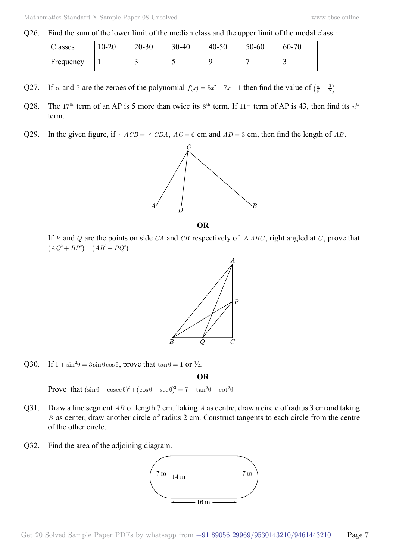Q26. Find the sum of the lower limit of the median class and the upper limit of the modal class :

| Classes   | $10 - 20$ | $20 - 30$ | $30 - 40$ | $40 - 50$ | 50-60 | $60 - 70$ |
|-----------|-----------|-----------|-----------|-----------|-------|-----------|
| Frequency |           |           |           |           |       |           |

- Q27. If  $\alpha$  and  $\beta$  are the zeroes of the polynomial  $f(x) = 5x^2 7x + 1$  then find the value of  $\left(\frac{\alpha}{\beta} + \frac{\beta}{\alpha}\right)$
- Q28. The 17<sup>th</sup> term of an AP is 5 more than twice its  $8^{th}$  term. If 11<sup>th</sup> term of AP is 43, then find its  $n^{th}$ term.
- Q29. In the given figure, if  $\angle ACB = \angle CDA$ ,  $AC = 6$  cm and  $AD = 3$  cm, then find the length of *AB*.



 **O**

If *P* and *Q* are the points on side *CA* and *CB* respectively of  $\triangle ABC$ , right angled at *C*, prove that  $(AQ^2 + BP^2) = (AB^2 + PQ^2)$ 



Q30. If  $1 + \sin^2 \theta = 3 \sin \theta \cos \theta$ , prove that  $\tan \theta = 1$  or  $\frac{1}{2}$ .

 **O**

Prove that  $(\sin \theta + \csc \theta)^2 + (\cos \theta + \sec \theta)^2 = 7 + \tan^2 \theta + \cot^2 \theta$ 

- Q31. Draw a line segment *AB* of length 7 cm. Taking *A* as centre, draw a circle of radius 3 cm and taking *B* as center, draw another circle of radius 2 cm. Construct tangents to each circle from the centre of the other circle.
- Q32. Find the area of the adjoining diagram.